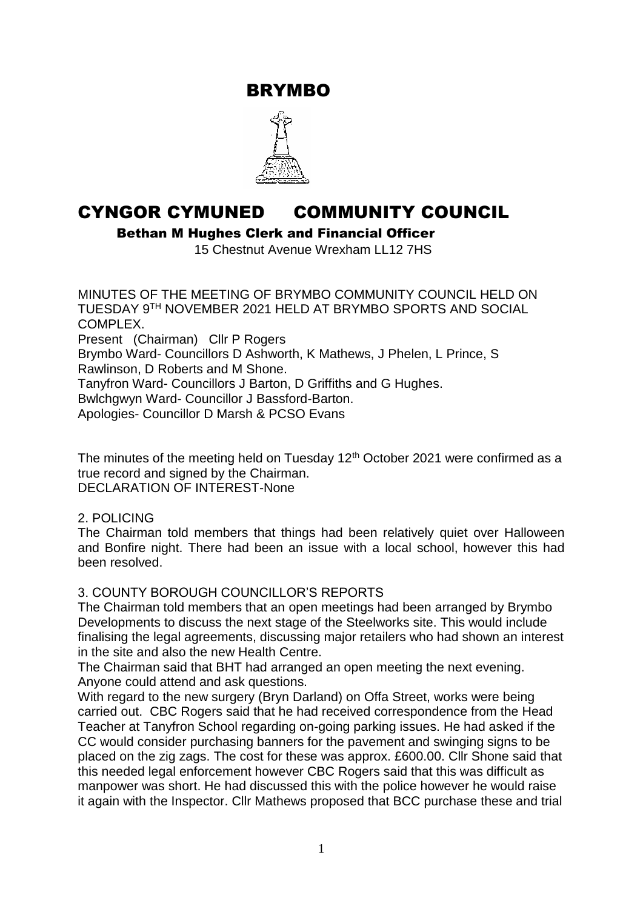BRYMBO



# CYNGOR CYMUNED COMMUNITY COUNCIL

Bethan M Hughes Clerk and Financial Officer

15 Chestnut Avenue Wrexham LL12 7HS

MINUTES OF THE MEETING OF BRYMBO COMMUNITY COUNCIL HELD ON TUESDAY 9TH NOVEMBER 2021 HELD AT BRYMBO SPORTS AND SOCIAL COMPLEX. Present (Chairman) Cllr P Rogers Brymbo Ward- Councillors D Ashworth, K Mathews, J Phelen, L Prince, S Rawlinson, D Roberts and M Shone. Tanyfron Ward- Councillors J Barton, D Griffiths and G Hughes. Bwlchgwyn Ward- Councillor J Bassford-Barton. Apologies- Councillor D Marsh & PCSO Evans

The minutes of the meeting held on Tuesday  $12<sup>th</sup>$  October 2021 were confirmed as a true record and signed by the Chairman. DECLARATION OF INTEREST-None

### 2. POLICING

The Chairman told members that things had been relatively quiet over Halloween and Bonfire night. There had been an issue with a local school, however this had been resolved.

### 3. COUNTY BOROUGH COUNCILLOR'S REPORTS

The Chairman told members that an open meetings had been arranged by Brymbo Developments to discuss the next stage of the Steelworks site. This would include finalising the legal agreements, discussing major retailers who had shown an interest in the site and also the new Health Centre.

The Chairman said that BHT had arranged an open meeting the next evening. Anyone could attend and ask questions.

With regard to the new surgery (Bryn Darland) on Offa Street, works were being carried out. CBC Rogers said that he had received correspondence from the Head Teacher at Tanyfron School regarding on-going parking issues. He had asked if the CC would consider purchasing banners for the pavement and swinging signs to be placed on the zig zags. The cost for these was approx. £600.00. Cllr Shone said that this needed legal enforcement however CBC Rogers said that this was difficult as manpower was short. He had discussed this with the police however he would raise it again with the Inspector. Cllr Mathews proposed that BCC purchase these and trial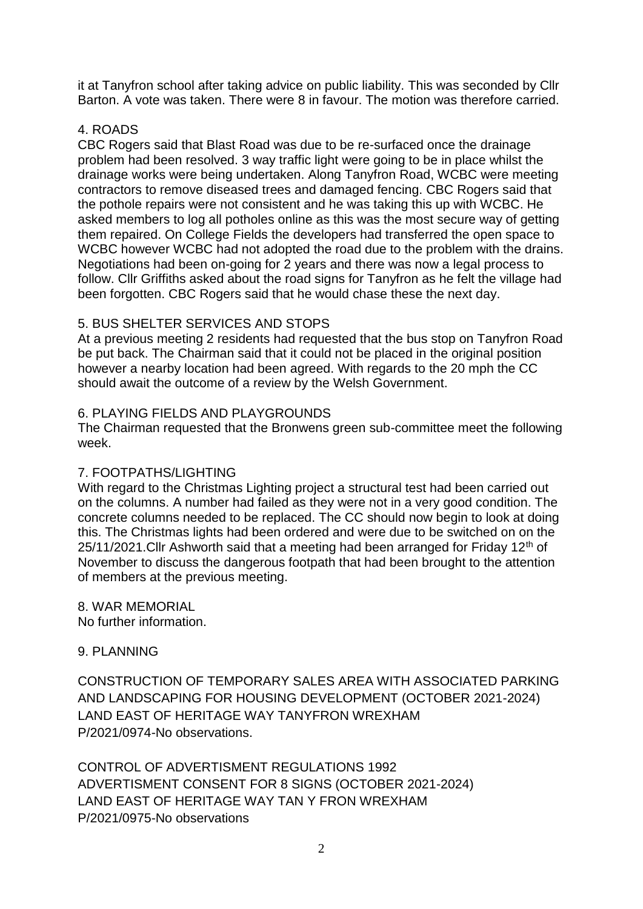it at Tanyfron school after taking advice on public liability. This was seconded by Cllr Barton. A vote was taken. There were 8 in favour. The motion was therefore carried.

# 4. ROADS

CBC Rogers said that Blast Road was due to be re-surfaced once the drainage problem had been resolved. 3 way traffic light were going to be in place whilst the drainage works were being undertaken. Along Tanyfron Road, WCBC were meeting contractors to remove diseased trees and damaged fencing. CBC Rogers said that the pothole repairs were not consistent and he was taking this up with WCBC. He asked members to log all potholes online as this was the most secure way of getting them repaired. On College Fields the developers had transferred the open space to WCBC however WCBC had not adopted the road due to the problem with the drains. Negotiations had been on-going for 2 years and there was now a legal process to follow. Cllr Griffiths asked about the road signs for Tanyfron as he felt the village had been forgotten. CBC Rogers said that he would chase these the next day.

# 5. BUS SHELTER SERVICES AND STOPS

At a previous meeting 2 residents had requested that the bus stop on Tanyfron Road be put back. The Chairman said that it could not be placed in the original position however a nearby location had been agreed. With regards to the 20 mph the CC should await the outcome of a review by the Welsh Government.

# 6. PLAYING FIELDS AND PLAYGROUNDS

The Chairman requested that the Bronwens green sub-committee meet the following week.

# 7. FOOTPATHS/LIGHTING

With regard to the Christmas Lighting project a structural test had been carried out on the columns. A number had failed as they were not in a very good condition. The concrete columns needed to be replaced. The CC should now begin to look at doing this. The Christmas lights had been ordered and were due to be switched on on the 25/11/2021.Cllr Ashworth said that a meeting had been arranged for Friday 12<sup>th</sup> of November to discuss the dangerous footpath that had been brought to the attention of members at the previous meeting.

8. WAR MEMORIAL No further information.

# 9. PLANNING

CONSTRUCTION OF TEMPORARY SALES AREA WITH ASSOCIATED PARKING AND LANDSCAPING FOR HOUSING DEVELOPMENT (OCTOBER 2021-2024) LAND EAST OF HERITAGE WAY TANYFRON WREXHAM P/2021/0974-No observations.

CONTROL OF ADVERTISMENT REGULATIONS 1992 ADVERTISMENT CONSENT FOR 8 SIGNS (OCTOBER 2021-2024) LAND EAST OF HERITAGE WAY TAN Y FRON WREXHAM P/2021/0975-No observations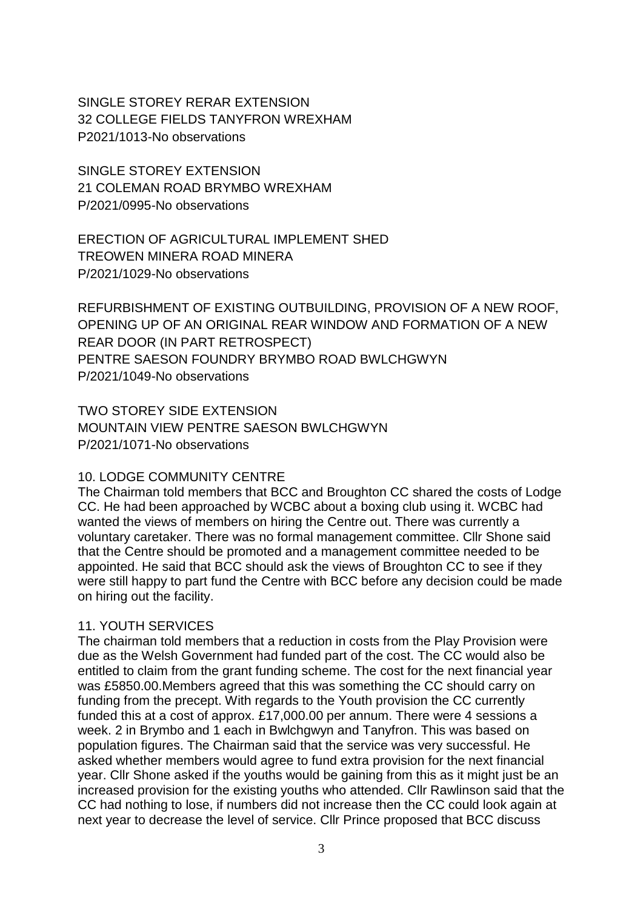SINGLE STOREY RERAR EXTENSION 32 COLLEGE FIELDS TANYFRON WREXHAM P2021/1013-No observations

SINGLE STOREY EXTENSION 21 COLEMAN ROAD BRYMBO WREXHAM P/2021/0995-No observations

ERECTION OF AGRICULTURAL IMPLEMENT SHED TREOWEN MINERA ROAD MINERA P/2021/1029-No observations

REFURBISHMENT OF EXISTING OUTBUILDING, PROVISION OF A NEW ROOF, OPENING UP OF AN ORIGINAL REAR WINDOW AND FORMATION OF A NEW REAR DOOR (IN PART RETROSPECT) PENTRE SAESON FOUNDRY BRYMBO ROAD BWLCHGWYN P/2021/1049-No observations

TWO STOREY SIDE EXTENSION MOUNTAIN VIEW PENTRE SAESON BWLCHGWYN P/2021/1071-No observations

### 10. LODGE COMMUNITY CENTRE

The Chairman told members that BCC and Broughton CC shared the costs of Lodge CC. He had been approached by WCBC about a boxing club using it. WCBC had wanted the views of members on hiring the Centre out. There was currently a voluntary caretaker. There was no formal management committee. Cllr Shone said that the Centre should be promoted and a management committee needed to be appointed. He said that BCC should ask the views of Broughton CC to see if they were still happy to part fund the Centre with BCC before any decision could be made on hiring out the facility.

# 11. YOUTH SERVICES

The chairman told members that a reduction in costs from the Play Provision were due as the Welsh Government had funded part of the cost. The CC would also be entitled to claim from the grant funding scheme. The cost for the next financial year was £5850.00.Members agreed that this was something the CC should carry on funding from the precept. With regards to the Youth provision the CC currently funded this at a cost of approx. £17,000.00 per annum. There were 4 sessions a week. 2 in Brymbo and 1 each in Bwlchgwyn and Tanyfron. This was based on population figures. The Chairman said that the service was very successful. He asked whether members would agree to fund extra provision for the next financial year. Cllr Shone asked if the youths would be gaining from this as it might just be an increased provision for the existing youths who attended. Cllr Rawlinson said that the CC had nothing to lose, if numbers did not increase then the CC could look again at next year to decrease the level of service. Cllr Prince proposed that BCC discuss